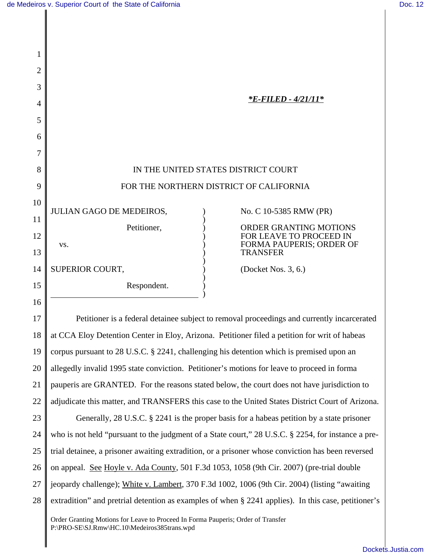| 2  |                                                                                                                                 |
|----|---------------------------------------------------------------------------------------------------------------------------------|
| 3  |                                                                                                                                 |
| 4  | *E-FILED - 4/21/11*                                                                                                             |
| 5  |                                                                                                                                 |
| 6  |                                                                                                                                 |
| 7  |                                                                                                                                 |
| 8  | IN THE UNITED STATES DISTRICT COURT                                                                                             |
| 9  | FOR THE NORTHERN DISTRICT OF CALIFORNIA                                                                                         |
| 10 | JULIAN GAGO DE MEDEIROS,<br>No. C 10-5385 RMW (PR)                                                                              |
| 11 | Petitioner,<br><b>ORDER GRANTING MOTIONS</b>                                                                                    |
| 12 | FOR LEAVE TO PROCEED IN<br>FORMA PAUPERIS; ORDER OF                                                                             |
| 13 | VS.<br><b>TRANSFER</b>                                                                                                          |
| 14 | SUPERIOR COURT,<br>(Docket Nos. 3, 6.)                                                                                          |
| 15 | Respondent.                                                                                                                     |
| 16 |                                                                                                                                 |
| 17 | Petitioner is a federal detainee subject to removal proceedings and currently incarcerated                                      |
| 18 | at CCA Eloy Detention Center in Eloy, Arizona. Petitioner filed a petition for writ of habeas                                   |
| 19 | corpus pursuant to 28 U.S.C. § 2241, challenging his detention which is premised upon an                                        |
| 20 | allegedly invalid 1995 state conviction. Petitioner's motions for leave to proceed in forma                                     |
| 21 | pauperis are GRANTED. For the reasons stated below, the court does not have jurisdiction to                                     |
| 22 | adjudicate this matter, and TRANSFERS this case to the United States District Court of Arizona.                                 |
| 23 | Generally, 28 U.S.C. § 2241 is the proper basis for a habeas petition by a state prisoner                                       |
| 24 | who is not held "pursuant to the judgment of a State court," 28 U.S.C. § 2254, for instance a pre-                              |
| 25 | trial detainee, a prisoner awaiting extradition, or a prisoner whose conviction has been reversed                               |
| 26 | on appeal. See Hoyle v. Ada County, 501 F.3d 1053, 1058 (9th Cir. 2007) (pre-trial double                                       |
| 27 | jeopardy challenge); White v. Lambert, 370 F.3d 1002, 1006 (9th Cir. 2004) (listing "awaiting                                   |
| 28 | extradition" and pretrial detention as examples of when § 2241 applies). In this case, petitioner's                             |
|    | Order Granting Motions for Leave to Proceed In Forma Pauperis; Order of Transfer<br>P:\PRO-SE\SJ.Rmw\HC.10\Medeiros385trans.wpd |